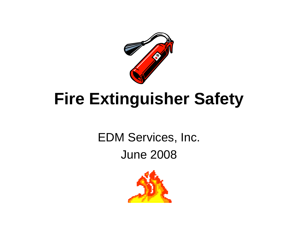

## **Fire Extinguisher Safety**

EDM Services, Inc. June 2008

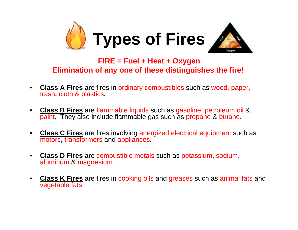

## **FIRE = Fuel + Heat + Oxygen Elimination of any one of these distinguishes the fire!**

- • **Class A Fires** are fires in ordinary combustibles such as wood, paper, trash**,** cloth & plastics**.**
- $\bullet$  **Class B Fires** are flammable liquids such as gasoline, petroleum oil & paint. They also include flammable gas such as propane & butane.
- $\bullet$  **Class C Fires** are fires involving energized electrical equipment such as motors, transformers and appliances**.**
- $\bullet$  **Class D Fires** are combustible metals such as potassium, sodium, aluminum & magnesium.
- • **Class K Fires** are fires in cooking oils and greases such as animal fats and vegetable fats.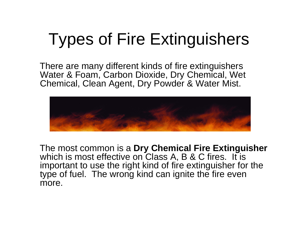## Types of Fire Extinguishers

There are many different kinds of fire extinguishers Water & Foam, Carbon Dioxide, Dry Chemical, Wet Chemical, Clean Agent, Dry Powder & Water Mist.



The most common is a **Dry Chemical Fire Extinguisher** which is most effective on Class A, B & C fires. It is important to use the right kind of fire extinguisher for the type of fuel. The wrong kind can ignite the fire even more.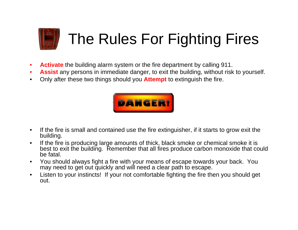

- $\bullet$ **Activate** the building alarm system or the fire department by calling 911.
- •**Assist** any persons in immediate danger, to exit the building, without risk to yourself.
- •Only after these two things should you **Attempt** to extinguish the fire.



- $\bullet$  If the fire is small and contained use the fire extinguisher, if it starts to grow exit the building.
- $\bullet$  If the fire is producing large amounts of thick, black smoke or chemical smoke it is best to exit the building. Remember that all fires produce carbon monoxide that could be fatal.
- $\bullet$  You should always fight a fire with your means of escape towards your back. You may need to get out quickly and will need a clear path to escape.
- $\bullet$  Listen to your instincts! If your not comfortable fighting the fire then you should get out.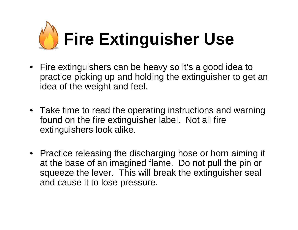

- Fire extinguishers can be heavy so it's a good idea to practice picking up and holding the extinguisher to get an idea of the weight and feel.
- Take time to read the operating instructions and warning found on the fire extinguisher label. Not all fire extinguishers look alike.
- Practice releasing the discharging hose or horn aiming it at the base of an imagined flame. Do not pull the pin or squeeze the lever. This will break the extinguisher seal and cause it to lose pressure.